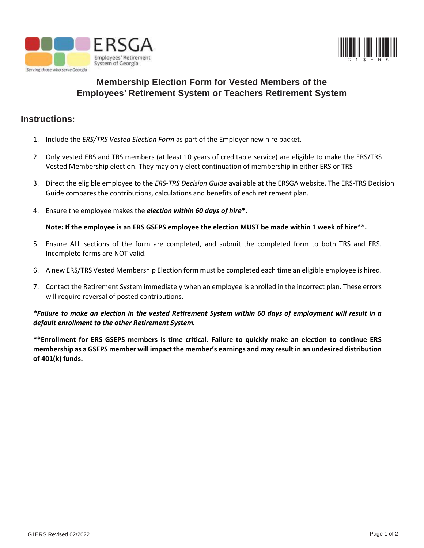



# **Membership Election Form for Vested Members of the Employees' Retirement System or Teachers Retirement System**

### **Instructions:**

- 1. Include the *ERS/TRS Vested Election Form* as part of the Employer new hire packet.
- 2. Only vested ERS and TRS members (at least 10 years of creditable service) are eligible to make the ERS/TRS Vested Membership election. They may only elect continuation of membership in either ERS or TRS
- 3. Direct the eligible employee to the *ERS-TRS Decision Guide* available at the ERSGA website. The ERS-TRS Decision Guide compares the contributions, calculations and benefits of each retirement plan.
- 4. Ensure the employee makes the *election within 60 days of hire***\*.**

#### **Note: If the employee is an ERS GSEPS employee the election MUST be made within 1 week of hire\*\*.**

- 5. Ensure ALL sections of the form are completed, and submit the completed form to both TRS and ERS. Incomplete forms are NOT valid.
- 6. A new ERS/TRS Vested Membership Election form must be completed each time an eligible employee is hired.
- 7. Contact the Retirement System immediately when an employee is enrolled in the incorrect plan. These errors will require reversal of posted contributions.

#### *\*Failure to make an election in the vested Retirement System within 60 days of employment will result in a default enrollment to the other Retirement System.*

**\*\*Enrollment for ERS GSEPS members is time critical. Failure to quickly make an election to continue ERS membership as a GSEPS member will impact the member's earnings and may result in an undesired distribution of 401(k) funds.**